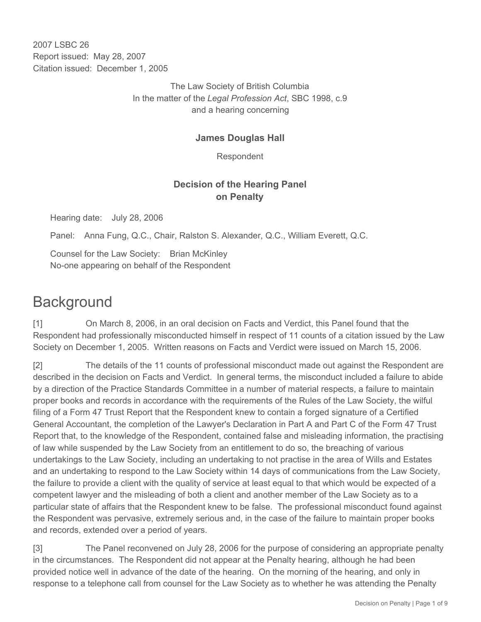2007 LSBC 26 Report issued: May 28, 2007 Citation issued: December 1, 2005

> The Law Society of British Columbia In the matter of the *Legal Profession Act*, SBC 1998, c.9 and a hearing concerning

### **James Douglas Hall**

Respondent

## **Decision of the Hearing Panel on Penalty**

Hearing date: July 28, 2006

Panel: Anna Fung, Q.C., Chair, Ralston S. Alexander, Q.C., William Everett, Q.C.

Counsel for the Law Society: Brian McKinley No-one appearing on behalf of the Respondent

# **Background**

[1] On March 8, 2006, in an oral decision on Facts and Verdict, this Panel found that the Respondent had professionally misconducted himself in respect of 11 counts of a citation issued by the Law Society on December 1, 2005. Written reasons on Facts and Verdict were issued on March 15, 2006.

[2] The details of the 11 counts of professional misconduct made out against the Respondent are described in the decision on Facts and Verdict. In general terms, the misconduct included a failure to abide by a direction of the Practice Standards Committee in a number of material respects, a failure to maintain proper books and records in accordance with the requirements of the Rules of the Law Society, the wilful filing of a Form 47 Trust Report that the Respondent knew to contain a forged signature of a Certified General Accountant, the completion of the Lawyer's Declaration in Part A and Part C of the Form 47 Trust Report that, to the knowledge of the Respondent, contained false and misleading information, the practising of law while suspended by the Law Society from an entitlement to do so, the breaching of various undertakings to the Law Society, including an undertaking to not practise in the area of Wills and Estates and an undertaking to respond to the Law Society within 14 days of communications from the Law Society, the failure to provide a client with the quality of service at least equal to that which would be expected of a competent lawyer and the misleading of both a client and another member of the Law Society as to a particular state of affairs that the Respondent knew to be false. The professional misconduct found against the Respondent was pervasive, extremely serious and, in the case of the failure to maintain proper books and records, extended over a period of years.

[3] The Panel reconvened on July 28, 2006 for the purpose of considering an appropriate penalty in the circumstances. The Respondent did not appear at the Penalty hearing, although he had been provided notice well in advance of the date of the hearing. On the morning of the hearing, and only in response to a telephone call from counsel for the Law Society as to whether he was attending the Penalty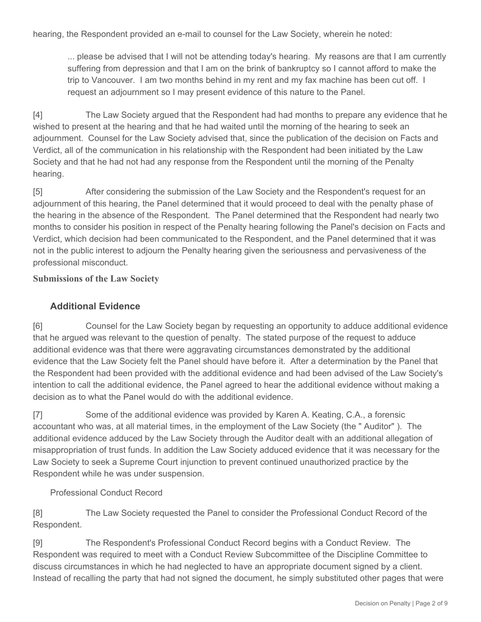hearing, the Respondent provided an e-mail to counsel for the Law Society, wherein he noted:

... please be advised that I will not be attending today's hearing. My reasons are that I am currently suffering from depression and that I am on the brink of bankruptcy so I cannot afford to make the trip to Vancouver. I am two months behind in my rent and my fax machine has been cut off. I request an adjournment so I may present evidence of this nature to the Panel.

[4] The Law Society argued that the Respondent had had months to prepare any evidence that he wished to present at the hearing and that he had waited until the morning of the hearing to seek an adjournment. Counsel for the Law Society advised that, since the publication of the decision on Facts and Verdict, all of the communication in his relationship with the Respondent had been initiated by the Law Society and that he had not had any response from the Respondent until the morning of the Penalty hearing.

[5] After considering the submission of the Law Society and the Respondent's request for an adjournment of this hearing, the Panel determined that it would proceed to deal with the penalty phase of the hearing in the absence of the Respondent. The Panel determined that the Respondent had nearly two months to consider his position in respect of the Penalty hearing following the Panel's decision on Facts and Verdict, which decision had been communicated to the Respondent, and the Panel determined that it was not in the public interest to adjourn the Penalty hearing given the seriousness and pervasiveness of the professional misconduct.

#### **Submissions of the Law Society**

#### **Additional Evidence**

[6] Counsel for the Law Society began by requesting an opportunity to adduce additional evidence that he argued was relevant to the question of penalty. The stated purpose of the request to adduce additional evidence was that there were aggravating circumstances demonstrated by the additional evidence that the Law Society felt the Panel should have before it. After a determination by the Panel that the Respondent had been provided with the additional evidence and had been advised of the Law Society's intention to call the additional evidence, the Panel agreed to hear the additional evidence without making a decision as to what the Panel would do with the additional evidence.

[7] Some of the additional evidence was provided by Karen A. Keating, C.A., a forensic accountant who was, at all material times, in the employment of the Law Society (the " Auditor" ). The additional evidence adduced by the Law Society through the Auditor dealt with an additional allegation of misappropriation of trust funds. In addition the Law Society adduced evidence that it was necessary for the Law Society to seek a Supreme Court injunction to prevent continued unauthorized practice by the Respondent while he was under suspension.

#### Professional Conduct Record

[8] The Law Society requested the Panel to consider the Professional Conduct Record of the Respondent.

[9] The Respondent's Professional Conduct Record begins with a Conduct Review. The Respondent was required to meet with a Conduct Review Subcommittee of the Discipline Committee to discuss circumstances in which he had neglected to have an appropriate document signed by a client. Instead of recalling the party that had not signed the document, he simply substituted other pages that were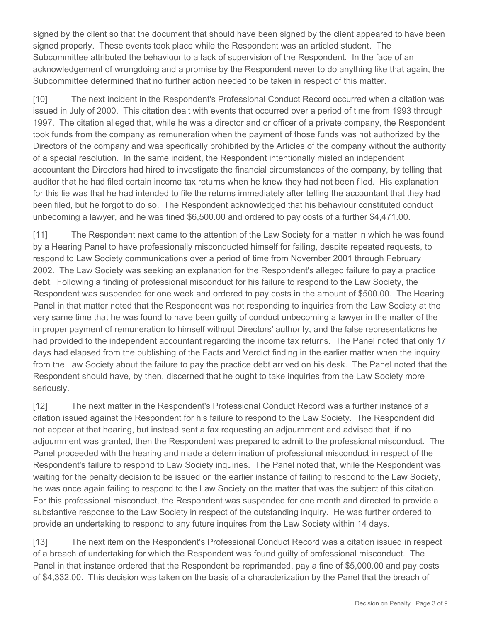signed by the client so that the document that should have been signed by the client appeared to have been signed properly. These events took place while the Respondent was an articled student. The Subcommittee attributed the behaviour to a lack of supervision of the Respondent. In the face of an acknowledgement of wrongdoing and a promise by the Respondent never to do anything like that again, the Subcommittee determined that no further action needed to be taken in respect of this matter.

[10] The next incident in the Respondent's Professional Conduct Record occurred when a citation was issued in July of 2000. This citation dealt with events that occurred over a period of time from 1993 through 1997. The citation alleged that, while he was a director and or officer of a private company, the Respondent took funds from the company as remuneration when the payment of those funds was not authorized by the Directors of the company and was specifically prohibited by the Articles of the company without the authority of a special resolution. In the same incident, the Respondent intentionally misled an independent accountant the Directors had hired to investigate the financial circumstances of the company, by telling that auditor that he had filed certain income tax returns when he knew they had not been filed. His explanation for this lie was that he had intended to file the returns immediately after telling the accountant that they had been filed, but he forgot to do so. The Respondent acknowledged that his behaviour constituted conduct unbecoming a lawyer, and he was fined \$6,500.00 and ordered to pay costs of a further \$4,471.00.

[11] The Respondent next came to the attention of the Law Society for a matter in which he was found by a Hearing Panel to have professionally misconducted himself for failing, despite repeated requests, to respond to Law Society communications over a period of time from November 2001 through February 2002. The Law Society was seeking an explanation for the Respondent's alleged failure to pay a practice debt. Following a finding of professional misconduct for his failure to respond to the Law Society, the Respondent was suspended for one week and ordered to pay costs in the amount of \$500.00. The Hearing Panel in that matter noted that the Respondent was not responding to inquiries from the Law Society at the very same time that he was found to have been guilty of conduct unbecoming a lawyer in the matter of the improper payment of remuneration to himself without Directors' authority, and the false representations he had provided to the independent accountant regarding the income tax returns. The Panel noted that only 17 days had elapsed from the publishing of the Facts and Verdict finding in the earlier matter when the inquiry from the Law Society about the failure to pay the practice debt arrived on his desk. The Panel noted that the Respondent should have, by then, discerned that he ought to take inquiries from the Law Society more seriously.

[12] The next matter in the Respondent's Professional Conduct Record was a further instance of a citation issued against the Respondent for his failure to respond to the Law Society. The Respondent did not appear at that hearing, but instead sent a fax requesting an adjournment and advised that, if no adjournment was granted, then the Respondent was prepared to admit to the professional misconduct. The Panel proceeded with the hearing and made a determination of professional misconduct in respect of the Respondent's failure to respond to Law Society inquiries. The Panel noted that, while the Respondent was waiting for the penalty decision to be issued on the earlier instance of failing to respond to the Law Society, he was once again failing to respond to the Law Society on the matter that was the subject of this citation. For this professional misconduct, the Respondent was suspended for one month and directed to provide a substantive response to the Law Society in respect of the outstanding inquiry. He was further ordered to provide an undertaking to respond to any future inquires from the Law Society within 14 days.

[13] The next item on the Respondent's Professional Conduct Record was a citation issued in respect of a breach of undertaking for which the Respondent was found guilty of professional misconduct. The Panel in that instance ordered that the Respondent be reprimanded, pay a fine of \$5,000.00 and pay costs of \$4,332.00. This decision was taken on the basis of a characterization by the Panel that the breach of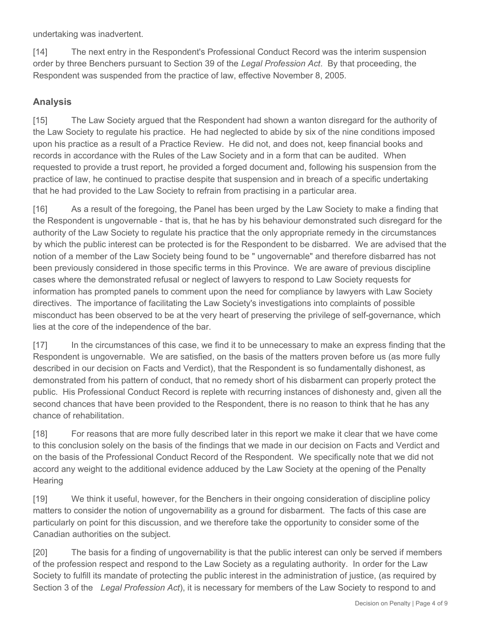undertaking was inadvertent.

[14] The next entry in the Respondent's Professional Conduct Record was the interim suspension order by three Benchers pursuant to Section 39 of the *Legal Profession Act*. By that proceeding, the Respondent was suspended from the practice of law, effective November 8, 2005.

#### **Analysis**

[15] The Law Society argued that the Respondent had shown a wanton disregard for the authority of the Law Society to regulate his practice. He had neglected to abide by six of the nine conditions imposed upon his practice as a result of a Practice Review. He did not, and does not, keep financial books and records in accordance with the Rules of the Law Society and in a form that can be audited. When requested to provide a trust report, he provided a forged document and, following his suspension from the practice of law, he continued to practise despite that suspension and in breach of a specific undertaking that he had provided to the Law Society to refrain from practising in a particular area.

[16] As a result of the foregoing, the Panel has been urged by the Law Society to make a finding that the Respondent is ungovernable - that is, that he has by his behaviour demonstrated such disregard for the authority of the Law Society to regulate his practice that the only appropriate remedy in the circumstances by which the public interest can be protected is for the Respondent to be disbarred. We are advised that the notion of a member of the Law Society being found to be " ungovernable" and therefore disbarred has not been previously considered in those specific terms in this Province. We are aware of previous discipline cases where the demonstrated refusal or neglect of lawyers to respond to Law Society requests for information has prompted panels to comment upon the need for compliance by lawyers with Law Society directives. The importance of facilitating the Law Society's investigations into complaints of possible misconduct has been observed to be at the very heart of preserving the privilege of self-governance, which lies at the core of the independence of the bar.

[17] In the circumstances of this case, we find it to be unnecessary to make an express finding that the Respondent is ungovernable. We are satisfied, on the basis of the matters proven before us (as more fully described in our decision on Facts and Verdict), that the Respondent is so fundamentally dishonest, as demonstrated from his pattern of conduct, that no remedy short of his disbarment can properly protect the public. His Professional Conduct Record is replete with recurring instances of dishonesty and, given all the second chances that have been provided to the Respondent, there is no reason to think that he has any chance of rehabilitation.

[18] For reasons that are more fully described later in this report we make it clear that we have come to this conclusion solely on the basis of the findings that we made in our decision on Facts and Verdict and on the basis of the Professional Conduct Record of the Respondent. We specifically note that we did not accord any weight to the additional evidence adduced by the Law Society at the opening of the Penalty **Hearing** 

[19] We think it useful, however, for the Benchers in their ongoing consideration of discipline policy matters to consider the notion of ungovernability as a ground for disbarment. The facts of this case are particularly on point for this discussion, and we therefore take the opportunity to consider some of the Canadian authorities on the subject.

[20] The basis for a finding of ungovernability is that the public interest can only be served if members of the profession respect and respond to the Law Society as a regulating authority. In order for the Law Society to fulfill its mandate of protecting the public interest in the administration of justice, (as required by Section 3 of the *Legal Profession Act*), it is necessary for members of the Law Society to respond to and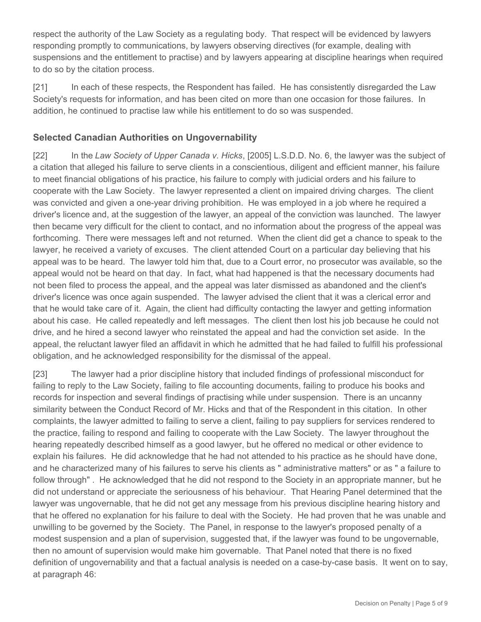respect the authority of the Law Society as a regulating body. That respect will be evidenced by lawyers responding promptly to communications, by lawyers observing directives (for example, dealing with suspensions and the entitlement to practise) and by lawyers appearing at discipline hearings when required to do so by the citation process.

[21] In each of these respects, the Respondent has failed. He has consistently disregarded the Law Society's requests for information, and has been cited on more than one occasion for those failures. In addition, he continued to practise law while his entitlement to do so was suspended.

## **Selected Canadian Authorities on Ungovernability**

[22] In the *Law Society of Upper Canada v. Hicks*, [2005] L.S.D.D. No. 6, the lawyer was the subject of a citation that alleged his failure to serve clients in a conscientious, diligent and efficient manner, his failure to meet financial obligations of his practice, his failure to comply with judicial orders and his failure to cooperate with the Law Society. The lawyer represented a client on impaired driving charges. The client was convicted and given a one-year driving prohibition. He was employed in a job where he required a driver's licence and, at the suggestion of the lawyer, an appeal of the conviction was launched. The lawyer then became very difficult for the client to contact, and no information about the progress of the appeal was forthcoming. There were messages left and not returned. When the client did get a chance to speak to the lawyer, he received a variety of excuses. The client attended Court on a particular day believing that his appeal was to be heard. The lawyer told him that, due to a Court error, no prosecutor was available, so the appeal would not be heard on that day. In fact, what had happened is that the necessary documents had not been filed to process the appeal, and the appeal was later dismissed as abandoned and the client's driver's licence was once again suspended. The lawyer advised the client that it was a clerical error and that he would take care of it. Again, the client had difficulty contacting the lawyer and getting information about his case. He called repeatedly and left messages. The client then lost his job because he could not drive, and he hired a second lawyer who reinstated the appeal and had the conviction set aside. In the appeal, the reluctant lawyer filed an affidavit in which he admitted that he had failed to fulfill his professional obligation, and he acknowledged responsibility for the dismissal of the appeal.

[23] The lawyer had a prior discipline history that included findings of professional misconduct for failing to reply to the Law Society, failing to file accounting documents, failing to produce his books and records for inspection and several findings of practising while under suspension. There is an uncanny similarity between the Conduct Record of Mr. Hicks and that of the Respondent in this citation. In other complaints, the lawyer admitted to failing to serve a client, failing to pay suppliers for services rendered to the practice, failing to respond and failing to cooperate with the Law Society. The lawyer throughout the hearing repeatedly described himself as a good lawyer, but he offered no medical or other evidence to explain his failures. He did acknowledge that he had not attended to his practice as he should have done, and he characterized many of his failures to serve his clients as " administrative matters" or as " a failure to follow through" . He acknowledged that he did not respond to the Society in an appropriate manner, but he did not understand or appreciate the seriousness of his behaviour. That Hearing Panel determined that the lawyer was ungovernable, that he did not get any message from his previous discipline hearing history and that he offered no explanation for his failure to deal with the Society. He had proven that he was unable and unwilling to be governed by the Society. The Panel, in response to the lawyer's proposed penalty of a modest suspension and a plan of supervision, suggested that, if the lawyer was found to be ungovernable, then no amount of supervision would make him governable. That Panel noted that there is no fixed definition of ungovernability and that a factual analysis is needed on a case-by-case basis. It went on to say, at paragraph 46: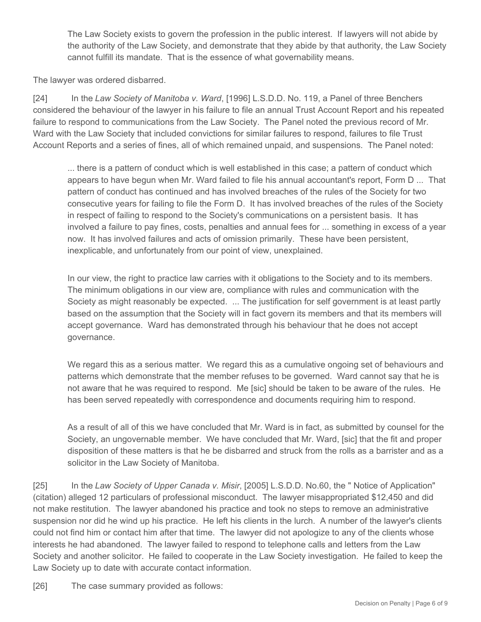The Law Society exists to govern the profession in the public interest. If lawyers will not abide by the authority of the Law Society, and demonstrate that they abide by that authority, the Law Society cannot fulfill its mandate. That is the essence of what governability means.

The lawyer was ordered disbarred.

[24] In the *Law Society of Manitoba v. Ward*, [1996] L.S.D.D. No. 119, a Panel of three Benchers considered the behaviour of the lawyer in his failure to file an annual Trust Account Report and his repeated failure to respond to communications from the Law Society. The Panel noted the previous record of Mr. Ward with the Law Society that included convictions for similar failures to respond, failures to file Trust Account Reports and a series of fines, all of which remained unpaid, and suspensions. The Panel noted:

... there is a pattern of conduct which is well established in this case; a pattern of conduct which appears to have begun when Mr. Ward failed to file his annual accountant's report, Form D ... That pattern of conduct has continued and has involved breaches of the rules of the Society for two consecutive years for failing to file the Form D. It has involved breaches of the rules of the Society in respect of failing to respond to the Society's communications on a persistent basis. It has involved a failure to pay fines, costs, penalties and annual fees for ... something in excess of a year now. It has involved failures and acts of omission primarily. These have been persistent, inexplicable, and unfortunately from our point of view, unexplained.

In our view, the right to practice law carries with it obligations to the Society and to its members. The minimum obligations in our view are, compliance with rules and communication with the Society as might reasonably be expected. ... The justification for self government is at least partly based on the assumption that the Society will in fact govern its members and that its members will accept governance. Ward has demonstrated through his behaviour that he does not accept governance.

We regard this as a serious matter. We regard this as a cumulative ongoing set of behaviours and patterns which demonstrate that the member refuses to be governed. Ward cannot say that he is not aware that he was required to respond. Me [sic] should be taken to be aware of the rules. He has been served repeatedly with correspondence and documents requiring him to respond.

As a result of all of this we have concluded that Mr. Ward is in fact, as submitted by counsel for the Society, an ungovernable member. We have concluded that Mr. Ward, [sic] that the fit and proper disposition of these matters is that he be disbarred and struck from the rolls as a barrister and as a solicitor in the Law Society of Manitoba.

[25] In the *Law Society of Upper Canada v. Misir*, [2005] L.S.D.D. No.60, the " Notice of Application" (citation) alleged 12 particulars of professional misconduct. The lawyer misappropriated \$12,450 and did not make restitution. The lawyer abandoned his practice and took no steps to remove an administrative suspension nor did he wind up his practice. He left his clients in the lurch. A number of the lawyer's clients could not find him or contact him after that time. The lawyer did not apologize to any of the clients whose interests he had abandoned. The lawyer failed to respond to telephone calls and letters from the Law Society and another solicitor. He failed to cooperate in the Law Society investigation. He failed to keep the Law Society up to date with accurate contact information.

[26] The case summary provided as follows: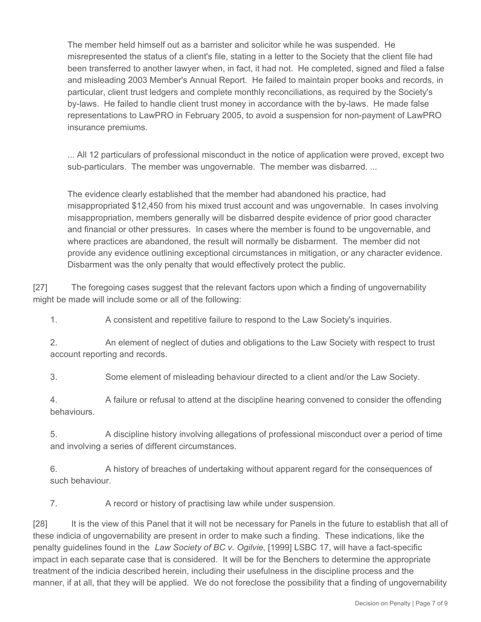The member held himself out as a barrister and solicitor while he was suspended. He misrepresented the status of a client's file, stating in a letter to the Society that the client file had been transferred to another lawyer when, in fact, it had not. He completed, signed and filed a false and misleading 2003 Member's Annual Report. He failed to maintain proper books and records, in particular, client trust ledgers and complete monthly reconciliations, as required by the Society's by-laws. He failed to handle client trust money in accordance with the by-laws. He made false representations to LawPRO in February 2005, to avoid a suspension for non-payment of LawPRO insurance premiums.

... All 12 particulars of professional misconduct in the notice of application were proved, except two sub-particulars. The member was ungovernable. The member was disbarred. ...

The evidence clearly established that the member had abandoned his practice, had misappropriated \$12,450 from his mixed trust account and was ungovernable. In cases involving misappropriation, members generally will be disbarred despite evidence of prior good character and financial or other pressures. In cases where the member is found to be ungovernable, and where practices are abandoned, the result will normally be disbarment. The member did not provide any evidence outlining exceptional circumstances in mitigation, or any character evidence. Disbarment was the only penalty that would effectively protect the public.

[27] The foregoing cases suggest that the relevant factors upon which a finding of ungovernability might be made will include some or all of the following:

1. A consistent and repetitive failure to respond to the Law Society's inquiries.

2. An element of neglect of duties and obligations to the Law Society with respect to trust account reporting and records.

3. Some element of misleading behaviour directed to a client and/or the Law Society.

4. A failure or refusal to attend at the discipline hearing convened to consider the offending behaviours.

5. A discipline history involving allegations of professional misconduct over a period of time and involving a series of different circumstances.

6. A history of breaches of undertaking without apparent regard for the consequences of such behaviour.

7. A record or history of practising law while under suspension.

[28] It is the view of this Panel that it will not be necessary for Panels in the future to establish that all of these indicia of ungovernability are present in order to make such a finding. These indications, like the penalty guidelines found in the *Law Society of BC v. Ogilvie*, [1999] LSBC 17, will have a fact-specific impact in each separate case that is considered. It will be for the Benchers to determine the appropriate treatment of the indicia described herein, including their usefulness in the discipline process and the manner, if at all, that they will be applied. We do not foreclose the possibility that a finding of ungovernability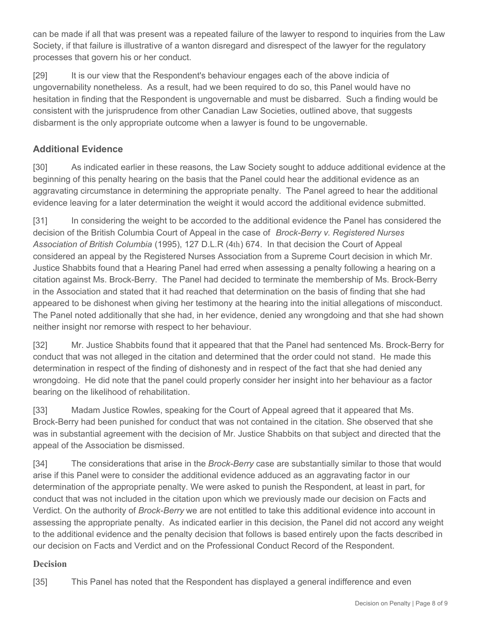can be made if all that was present was a repeated failure of the lawyer to respond to inquiries from the Law Society, if that failure is illustrative of a wanton disregard and disrespect of the lawyer for the regulatory processes that govern his or her conduct.

[29] It is our view that the Respondent's behaviour engages each of the above indicia of ungovernability nonetheless. As a result, had we been required to do so, this Panel would have no hesitation in finding that the Respondent is ungovernable and must be disbarred. Such a finding would be consistent with the jurisprudence from other Canadian Law Societies, outlined above, that suggests disbarment is the only appropriate outcome when a lawyer is found to be ungovernable.

# **Additional Evidence**

[30] As indicated earlier in these reasons, the Law Society sought to adduce additional evidence at the beginning of this penalty hearing on the basis that the Panel could hear the additional evidence as an aggravating circumstance in determining the appropriate penalty. The Panel agreed to hear the additional evidence leaving for a later determination the weight it would accord the additional evidence submitted.

[31] In considering the weight to be accorded to the additional evidence the Panel has considered the decision of the British Columbia Court of Appeal in the case of *Brock-Berry v. Registered Nurses Association of British Columbia* (1995), 127 D.L.R (4th) 674. In that decision the Court of Appeal considered an appeal by the Registered Nurses Association from a Supreme Court decision in which Mr. Justice Shabbits found that a Hearing Panel had erred when assessing a penalty following a hearing on a citation against Ms. Brock-Berry. The Panel had decided to terminate the membership of Ms. Brock-Berry in the Association and stated that it had reached that determination on the basis of finding that she had appeared to be dishonest when giving her testimony at the hearing into the initial allegations of misconduct. The Panel noted additionally that she had, in her evidence, denied any wrongdoing and that she had shown neither insight nor remorse with respect to her behaviour.

[32] Mr. Justice Shabbits found that it appeared that that the Panel had sentenced Ms. Brock-Berry for conduct that was not alleged in the citation and determined that the order could not stand. He made this determination in respect of the finding of dishonesty and in respect of the fact that she had denied any wrongdoing. He did note that the panel could properly consider her insight into her behaviour as a factor bearing on the likelihood of rehabilitation.

[33] Madam Justice Rowles, speaking for the Court of Appeal agreed that it appeared that Ms. Brock-Berry had been punished for conduct that was not contained in the citation. She observed that she was in substantial agreement with the decision of Mr. Justice Shabbits on that subject and directed that the appeal of the Association be dismissed.

[34] The considerations that arise in the *Brock-Berry* case are substantially similar to those that would arise if this Panel were to consider the additional evidence adduced as an aggravating factor in our determination of the appropriate penalty. We were asked to punish the Respondent, at least in part, for conduct that was not included in the citation upon which we previously made our decision on Facts and Verdict. On the authority of *Brock-Berry* we are not entitled to take this additional evidence into account in assessing the appropriate penalty. As indicated earlier in this decision, the Panel did not accord any weight to the additional evidence and the penalty decision that follows is based entirely upon the facts described in our decision on Facts and Verdict and on the Professional Conduct Record of the Respondent.

#### **Decision**

[35] This Panel has noted that the Respondent has displayed a general indifference and even